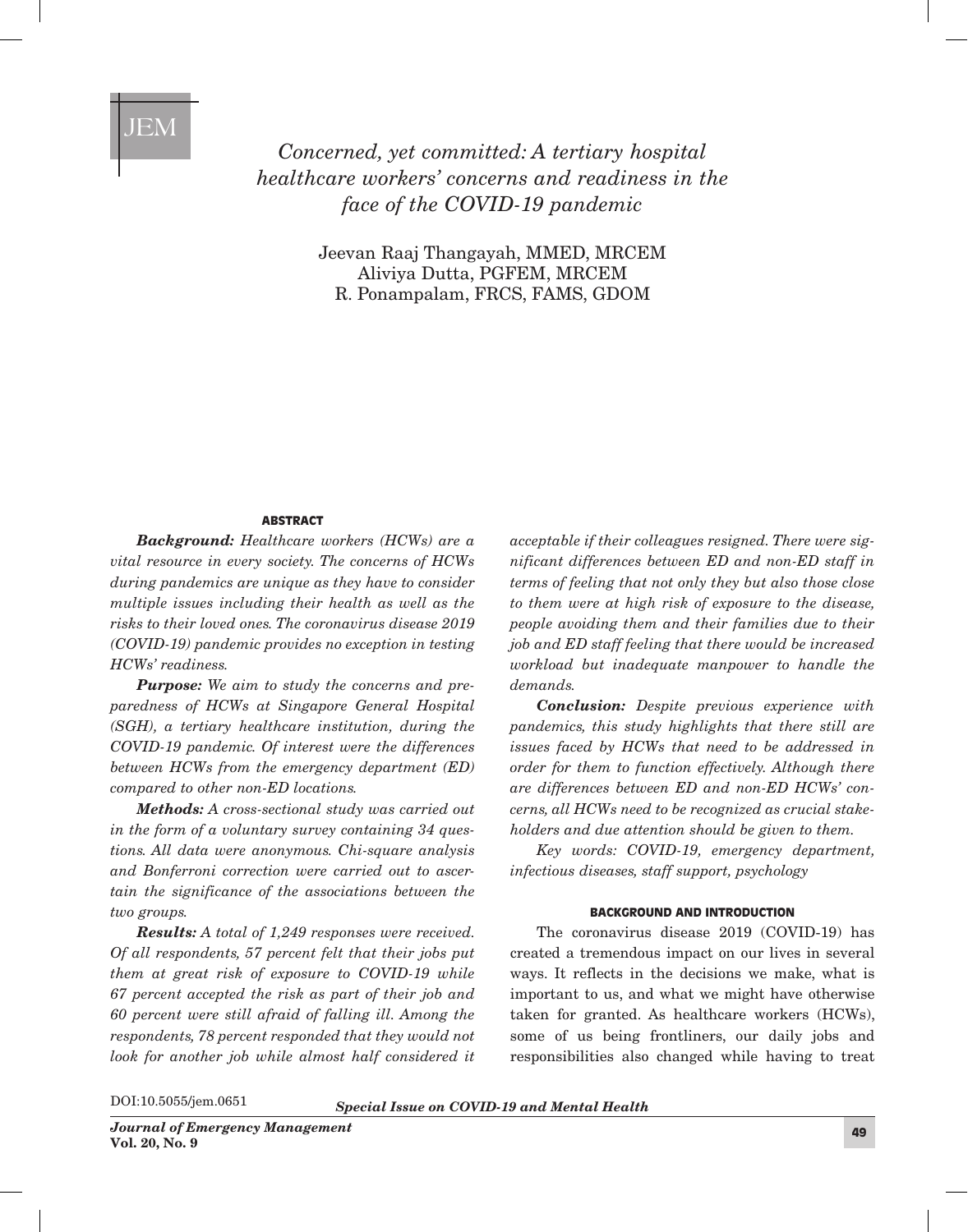# JEM

*Concerned, yet committed: A tertiary hospital healthcare workers' concerns and readiness in the face of the COVID-19 pandemic*

> Jeevan Raaj Thangayah, MMED, MRCEM Aliviya Dutta, PGFEM, MRCEM R. Ponampalam, FRCS, FAMS, GDOM

# **ABSTRACT**

*Background: Healthcare workers (HCWs) are a vital resource in every society. The concerns of HCWs during pandemics are unique as they have to consider multiple issues including their health as well as the risks to their loved ones. The coronavirus disease 2019 (COVID-19) pandemic provides no exception in testing HCWs' readiness.*

*Purpose: We aim to study the concerns and preparedness of HCWs at Singapore General Hospital (SGH), a tertiary healthcare institution, during the COVID-19 pandemic. Of interest were the differences between HCWs from the emergency department (ED) compared to other non-ED locations.*

*Methods: A cross-sectional study was carried out in the form of a voluntary survey containing 34 questions. All data were anonymous. Chi-square analysis and Bonferroni correction were carried out to ascertain the significance of the associations between the two groups.*

*Results: A total of 1,249 responses were received. Of all respondents, 57 percent felt that their jobs put them at great risk of exposure to COVID-19 while 67 percent accepted the risk as part of their job and 60 percent were still afraid of falling ill. Among the respondents, 78 percent responded that they would not look for another job while almost half considered it* 

*acceptable if their colleagues resigned. There were significant differences between ED and non-ED staff in terms of feeling that not only they but also those close to them were at high risk of exposure to the disease, people avoiding them and their families due to their job and ED staff feeling that there would be increased workload but inadequate manpower to handle the demands.*

*Conclusion: Despite previous experience with pandemics, this study highlights that there still are issues faced by HCWs that need to be addressed in order for them to function effectively. Although there are differences between ED and non-ED HCWs' concerns, all HCWs need to be recognized as crucial stakeholders and due attention should be given to them.*

*Key words: COVID-19, emergency department, infectious diseases, staff support, psychology*

#### BACKGROUND AND INTRODUCTION

The coronavirus disease 2019 (COVID-19) has created a tremendous impact on our lives in several ways. It reflects in the decisions we make, what is important to us, and what we might have otherwise taken for granted. As healthcare workers (HCWs), some of us being frontliners, our daily jobs and responsibilities also changed while having to treat

DOI:10.5055/jem.0651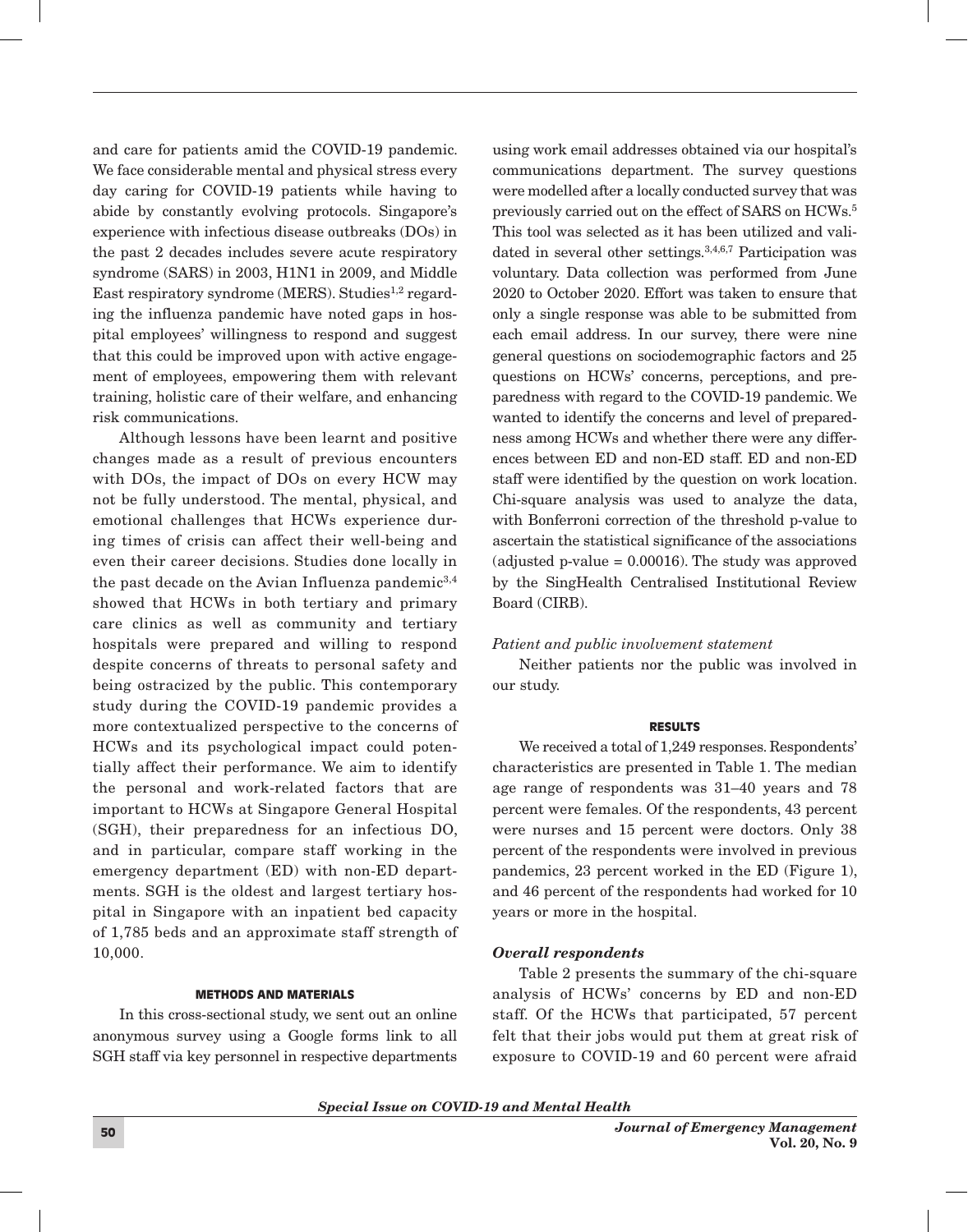and care for patients amid the COVID-19 pandemic. We face considerable mental and physical stress every day caring for COVID-19 patients while having to abide by constantly evolving protocols. Singapore's experience with infectious disease outbreaks (DOs) in the past 2 decades includes severe acute respiratory syndrome (SARS) in 2003, H1N1 in 2009, and Middle East respiratory syndrome (MERS). Studies<sup>1,2</sup> regarding the influenza pandemic have noted gaps in hospital employees' willingness to respond and suggest that this could be improved upon with active engagement of employees, empowering them with relevant training, holistic care of their welfare, and enhancing risk communications.

Although lessons have been learnt and positive changes made as a result of previous encounters with DOs, the impact of DOs on every HCW may not be fully understood. The mental, physical, and emotional challenges that HCWs experience during times of crisis can affect their well-being and even their career decisions. Studies done locally in the past decade on the Avian Influenza pandemic<sup>3,4</sup> showed that HCWs in both tertiary and primary care clinics as well as community and tertiary hospitals were prepared and willing to respond despite concerns of threats to personal safety and being ostracized by the public. This contemporary study during the COVID-19 pandemic provides a more contextualized perspective to the concerns of HCWs and its psychological impact could potentially affect their performance. We aim to identify the personal and work-related factors that are important to HCWs at Singapore General Hospital (SGH), their preparedness for an infectious DO, and in particular, compare staff working in the emergency department (ED) with non-ED departments. SGH is the oldest and largest tertiary hospital in Singapore with an inpatient bed capacity of 1,785 beds and an approximate staff strength of 10,000.

## METHODS AND MATERIALS

In this cross-sectional study, we sent out an online anonymous survey using a Google forms link to all SGH staff via key personnel in respective departments

using work email addresses obtained via our hospital's communications department. The survey questions were modelled after a locally conducted survey that was previously carried out on the effect of SARS on HCWs.5 This tool was selected as it has been utilized and validated in several other settings.<sup>3,4,6,7</sup> Participation was voluntary. Data collection was performed from June 2020 to October 2020. Effort was taken to ensure that only a single response was able to be submitted from each email address. In our survey, there were nine general questions on sociodemographic factors and 25 questions on HCWs' concerns, perceptions, and preparedness with regard to the COVID-19 pandemic. We wanted to identify the concerns and level of preparedness among HCWs and whether there were any differences between ED and non-ED staff. ED and non-ED staff were identified by the question on work location. Chi-square analysis was used to analyze the data, with Bonferroni correction of the threshold p-value to ascertain the statistical significance of the associations  $(adjusted p-value = 0.00016)$ . The study was approved by the SingHealth Centralised Institutional Review Board (CIRB).

## *Patient and public involvement statement*

Neither patients nor the public was involved in our study.

## RESULTS

We received a total of 1,249 responses. Respondents' characteristics are presented in Table 1. The median age range of respondents was 31–40 years and 78 percent were females. Of the respondents, 43 percent were nurses and 15 percent were doctors. Only 38 percent of the respondents were involved in previous pandemics, 23 percent worked in the ED (Figure 1), and 46 percent of the respondents had worked for 10 years or more in the hospital.

## *Overall respondents*

Table 2 presents the summary of the chi-square analysis of HCWs' concerns by ED and non-ED staff. Of the HCWs that participated, 57 percent felt that their jobs would put them at great risk of exposure to COVID-19 and 60 percent were afraid

*Special Issue on COVID-19 and Mental Health*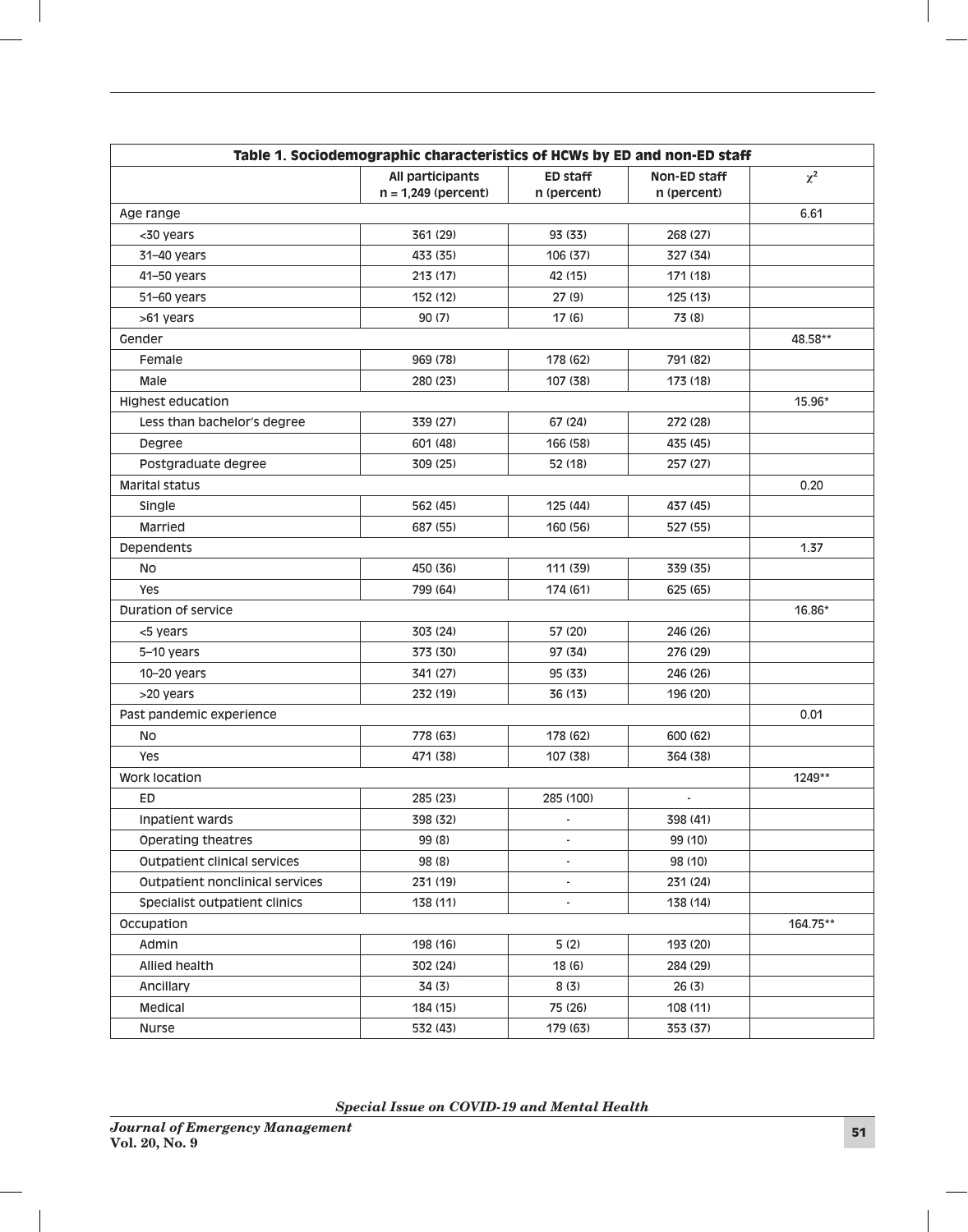| Table 1. Sociodemographic characteristics of HCWs by ED and non-ED staff |                                           |                          |                             |          |  |
|--------------------------------------------------------------------------|-------------------------------------------|--------------------------|-----------------------------|----------|--|
|                                                                          | All participants<br>$n = 1,249$ (percent) | ED staff<br>n (percent)  | Non-ED staff<br>n (percent) | $\chi^2$ |  |
| Age range                                                                | 6.61                                      |                          |                             |          |  |
| <30 years                                                                | 361 (29)                                  | 93 (33)                  | 268 (27)                    |          |  |
| 31-40 years                                                              | 433 (35)                                  | 106 (37)                 | 327 (34)                    |          |  |
| 41-50 years                                                              | 213 (17)                                  | 42 (15)                  | 171 (18)                    |          |  |
| 51-60 years                                                              | 152 (12)                                  | 27(9)                    | 125(13)                     |          |  |
| >61 years                                                                | 90(7)                                     | 17(6)                    | 73 (8)                      |          |  |
| Gender                                                                   |                                           |                          |                             | 48.58**  |  |
| Female                                                                   | 969 (78)                                  | 178 (62)                 | 791 (82)                    |          |  |
| Male                                                                     | 280 (23)                                  | 107 (38)                 | 173 (18)                    |          |  |
| <b>Highest education</b>                                                 |                                           |                          |                             | 15.96*   |  |
| Less than bachelor's degree                                              | 339 (27)                                  | 67 (24)                  | 272 (28)                    |          |  |
| Degree                                                                   | 601 (48)                                  | 166 (58)                 | 435 (45)                    |          |  |
| Postgraduate degree                                                      | 309 (25)                                  | 52 (18)                  | 257 (27)                    |          |  |
| <b>Marital status</b>                                                    |                                           |                          |                             | 0.20     |  |
| Single                                                                   | 562 (45)                                  | 125 (44)                 | 437 (45)                    |          |  |
| Married                                                                  | 687 (55)                                  | 160 (56)                 | 527 (55)                    |          |  |
| Dependents                                                               |                                           |                          | 1.37                        |          |  |
| No                                                                       | 450 (36)                                  | 111(39)                  | 339 (35)                    |          |  |
| Yes                                                                      | 799 (64)                                  | 174 (61)                 | 625 (65)                    |          |  |
| Duration of service                                                      |                                           |                          |                             | 16.86*   |  |
| <5 years                                                                 | 303 (24)                                  | 57 (20)                  | 246 (26)                    |          |  |
| 5-10 years                                                               | 373 (30)                                  | 97 (34)                  | 276 (29)                    |          |  |
| 10-20 years                                                              | 341 (27)                                  | 95 (33)                  | 246 (26)                    |          |  |
| >20 years                                                                | 232 (19)                                  | 36 (13)                  | 196 (20)                    |          |  |
| Past pandemic experience                                                 | 0.01                                      |                          |                             |          |  |
| No                                                                       | 778 (63)                                  | 178 (62)                 | 600 (62)                    |          |  |
| Yes                                                                      | 471 (38)                                  | 107 (38)                 | 364 (38)                    |          |  |
| Work location                                                            |                                           |                          |                             | 1249**   |  |
| ED                                                                       | 285 (23)                                  | 285 (100)                |                             |          |  |
| Inpatient wards                                                          | 398 (32)                                  |                          | 398 (41)                    |          |  |
| Operating theatres                                                       | 99 (8)                                    |                          | 99 (10)                     |          |  |
| Outpatient clinical services                                             | 98 (8)                                    |                          | 98 (10)                     |          |  |
| Outpatient nonclinical services                                          | 231 (19)                                  | $\overline{\phantom{a}}$ | 231 (24)                    |          |  |
| Specialist outpatient clinics                                            | 138 (11)                                  |                          | 138 (14)                    |          |  |
| Occupation                                                               |                                           |                          | 164.75**                    |          |  |
| Admin                                                                    | 198 (16)                                  | 5(2)                     | 193 (20)                    |          |  |
| Allied health                                                            | 302 (24)                                  | 18(6)                    | 284 (29)                    |          |  |
| Ancillary                                                                | 34 (3)                                    | 8 (3)                    | 26(3)                       |          |  |
| Medical                                                                  | 184 (15)                                  | 75 (26)                  | 108 (11)                    |          |  |
| Nurse                                                                    | 532 (43)                                  | 179 (63)                 | 353 (37)                    |          |  |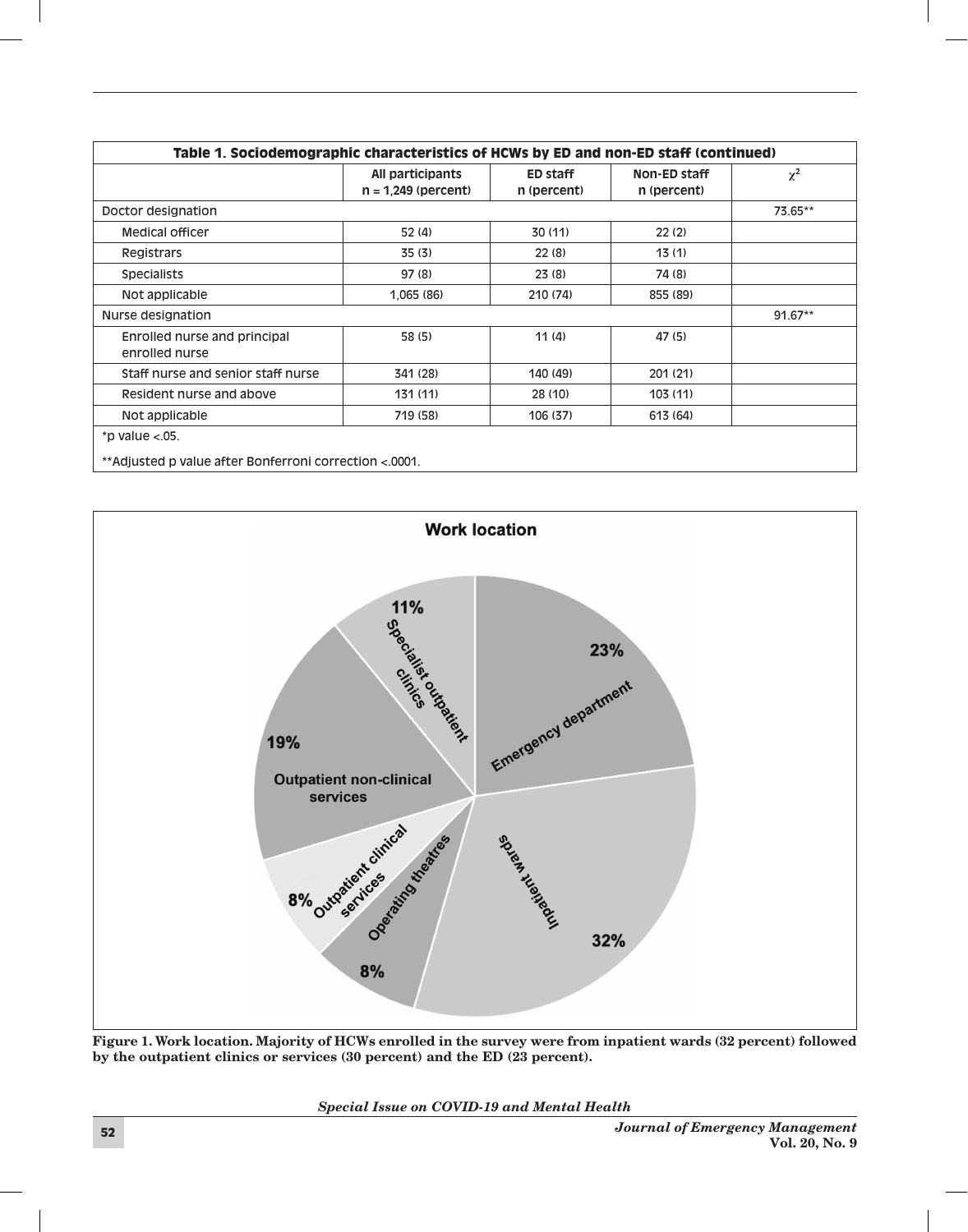| Table 1. Sociodemographic characteristics of HCWs by ED and non-ED staff (continued) |                                           |                         |                             |          |  |
|--------------------------------------------------------------------------------------|-------------------------------------------|-------------------------|-----------------------------|----------|--|
|                                                                                      | All participants<br>$n = 1,249$ (percent) | ED staff<br>n (percent) | Non-ED staff<br>n (percent) | $\chi^2$ |  |
| Doctor designation                                                                   |                                           |                         |                             |          |  |
| <b>Medical officer</b>                                                               | 52(4)                                     | 30 (11)                 | 22(2)                       |          |  |
| Registrars                                                                           | 35(3)                                     | 22(8)                   | 13(1)                       |          |  |
| <b>Specialists</b>                                                                   | 97(8)                                     | 23(8)                   | 74 (8)                      |          |  |
| Not applicable                                                                       | 1,065 (86)                                | 210 (74)                | 855 (89)                    |          |  |
| Nurse designation                                                                    |                                           |                         |                             |          |  |
| Enrolled nurse and principal<br>enrolled nurse                                       | 58 (5)                                    | 11(4)                   | 47 (5)                      |          |  |
| Staff nurse and senior staff nurse                                                   | 341 (28)                                  | 140 (49)                | 201 (21)                    |          |  |
| Resident nurse and above                                                             | 131(11)                                   | 28 (10)                 | 103(11)                     |          |  |
| Not applicable                                                                       | 719 (58)                                  | 106 (37)                | 613 (64)                    |          |  |



Figure 1. Work location. Majority of HCWs enrolled in the survey were from inpatient wards (32 percent) followed by the outpatient clinics or services (30 percent) and the ED (23 percent).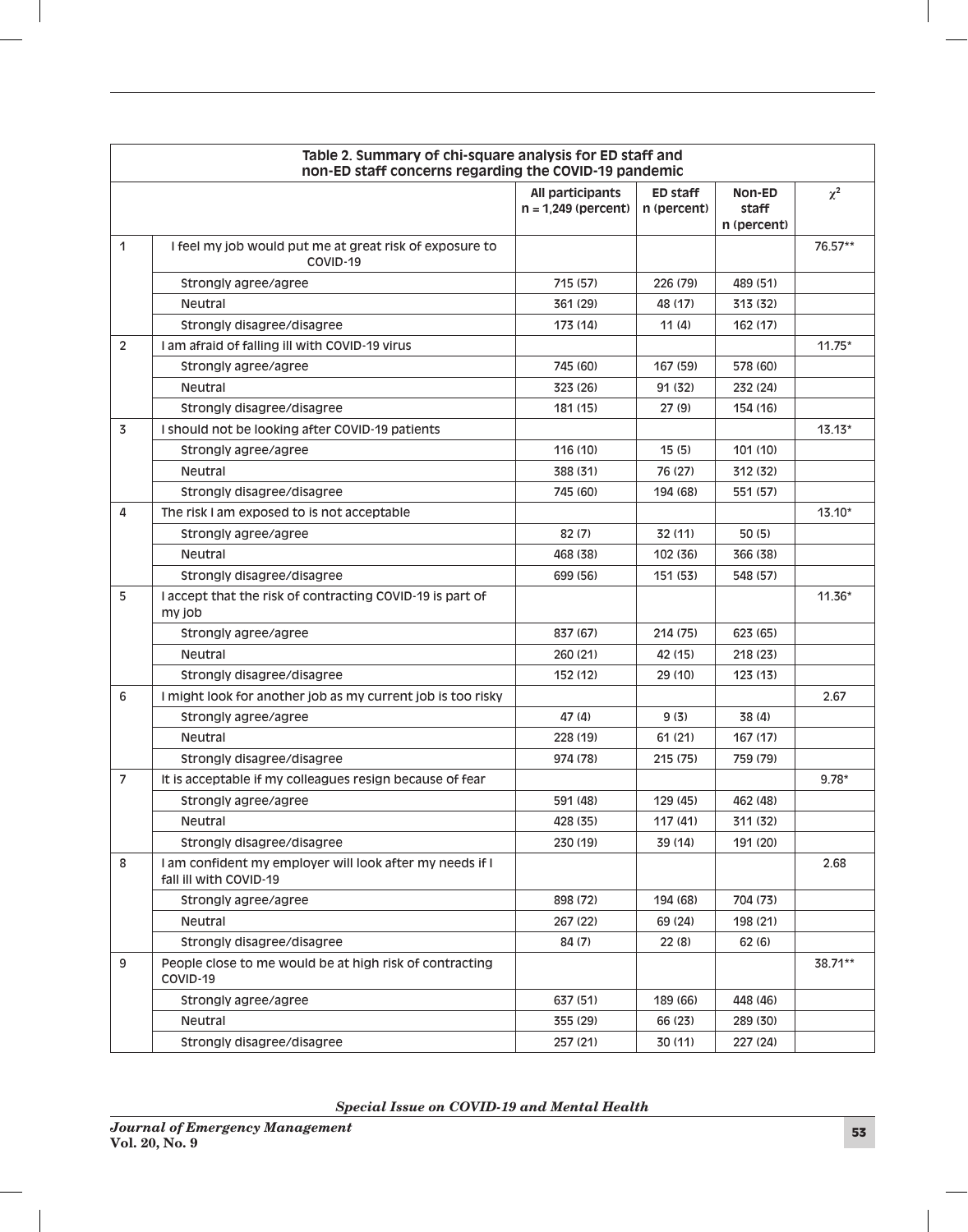| Table 2. Summary of chi-square analysis for ED staff and<br>non-ED staff concerns regarding the COVID-19 pandemic |                                                                                    |                                           |                                |                                |          |
|-------------------------------------------------------------------------------------------------------------------|------------------------------------------------------------------------------------|-------------------------------------------|--------------------------------|--------------------------------|----------|
|                                                                                                                   |                                                                                    | All participants<br>$n = 1,249$ (percent) | <b>ED staff</b><br>n (percent) | Non-ED<br>staff<br>n (percent) | $\chi^2$ |
| 1                                                                                                                 | I feel my job would put me at great risk of exposure to<br>COVID-19                |                                           |                                |                                | 76.57**  |
|                                                                                                                   | Strongly agree/agree                                                               | 715 (57)                                  | 226 (79)                       | 489 (51)                       |          |
|                                                                                                                   | <b>Neutral</b>                                                                     | 361 (29)                                  | 48 (17)                        | 313 (32)                       |          |
|                                                                                                                   | Strongly disagree/disagree                                                         | 173 (14)                                  | 11(4)                          | 162 (17)                       |          |
| $\overline{2}$                                                                                                    | I am afraid of falling ill with COVID-19 virus                                     |                                           |                                |                                | $11.75*$ |
|                                                                                                                   | Strongly agree/agree                                                               | 745 (60)                                  | 167 (59)                       | 578 (60)                       |          |
|                                                                                                                   | Neutral                                                                            | 323 (26)                                  | 91 (32)                        | 232 (24)                       |          |
|                                                                                                                   | Strongly disagree/disagree                                                         | 181 (15)                                  | 27 (9)                         | 154 (16)                       |          |
| $\overline{3}$                                                                                                    | I should not be looking after COVID-19 patients                                    |                                           |                                |                                | $13.13*$ |
|                                                                                                                   | Strongly agree/agree                                                               | 116 (10)                                  | 15(5)                          | 101 (10)                       |          |
|                                                                                                                   | Neutral                                                                            | 388 (31)                                  | 76 (27)                        | 312 (32)                       |          |
|                                                                                                                   | Strongly disagree/disagree                                                         | 745 (60)                                  | 194 (68)                       | 551 (57)                       |          |
| 4                                                                                                                 | The risk I am exposed to is not acceptable                                         |                                           |                                |                                | $13.10*$ |
|                                                                                                                   | Strongly agree/agree                                                               | 82(7)                                     | 32 (11)                        | 50 (5)                         |          |
|                                                                                                                   | Neutral                                                                            | 468 (38)                                  | 102 (36)                       | 366 (38)                       |          |
|                                                                                                                   | Strongly disagree/disagree                                                         | 699 (56)                                  | 151 (53)                       | 548 (57)                       |          |
| 5                                                                                                                 | I accept that the risk of contracting COVID-19 is part of<br>my job                |                                           |                                |                                | $11.36*$ |
|                                                                                                                   | Strongly agree/agree                                                               | 837 (67)                                  | 214 (75)                       | 623 (65)                       |          |
|                                                                                                                   | <b>Neutral</b>                                                                     | 260 (21)                                  | 42 (15)                        | 218 (23)                       |          |
|                                                                                                                   | Strongly disagree/disagree                                                         | 152 (12)                                  | 29 (10)                        | 123(13)                        |          |
| 6                                                                                                                 | I might look for another job as my current job is too risky                        |                                           |                                |                                | 2.67     |
|                                                                                                                   | Strongly agree/agree                                                               | 47(4)                                     | 9(3)                           | 38 (4)                         |          |
|                                                                                                                   | <b>Neutral</b>                                                                     | 228 (19)                                  | 61 (21)                        | 167 (17)                       |          |
|                                                                                                                   | Strongly disagree/disagree                                                         | 974 (78)                                  | 215 (75)                       | 759 (79)                       |          |
| $\overline{7}$                                                                                                    | It is acceptable if my colleagues resign because of fear                           |                                           |                                |                                | $9.78*$  |
|                                                                                                                   | Strongly agree/agree                                                               | 591 (48)                                  | 129 (45)                       | 462 (48)                       |          |
|                                                                                                                   | Neutral                                                                            | 428 (35)                                  | 117(41)                        | 311 (32)                       |          |
|                                                                                                                   | Strongly disagree/disagree                                                         | 230 (19)                                  | 39 (14)                        | 191 (20)                       |          |
| 8                                                                                                                 | I am confident my employer will look after my needs if I<br>fall ill with COVID-19 |                                           |                                |                                | 2.68     |
|                                                                                                                   | Strongly agree/agree                                                               | 898 (72)                                  | 194 (68)                       | 704 (73)                       |          |
|                                                                                                                   | Neutral                                                                            | 267 (22)                                  | 69 (24)                        | 198 (21)                       |          |
|                                                                                                                   | Strongly disagree/disagree                                                         | 84 (7)                                    | 22(8)                          | 62(6)                          |          |
| 9                                                                                                                 | People close to me would be at high risk of contracting<br>COVID-19                |                                           |                                |                                | 38.71**  |
|                                                                                                                   | Strongly agree/agree                                                               | 637 (51)                                  | 189 (66)                       | 448 (46)                       |          |
|                                                                                                                   | Neutral                                                                            | 355 (29)                                  | 66 (23)                        | 289 (30)                       |          |
|                                                                                                                   | Strongly disagree/disagree                                                         | 257 (21)                                  | 30 (11)                        | 227 (24)                       |          |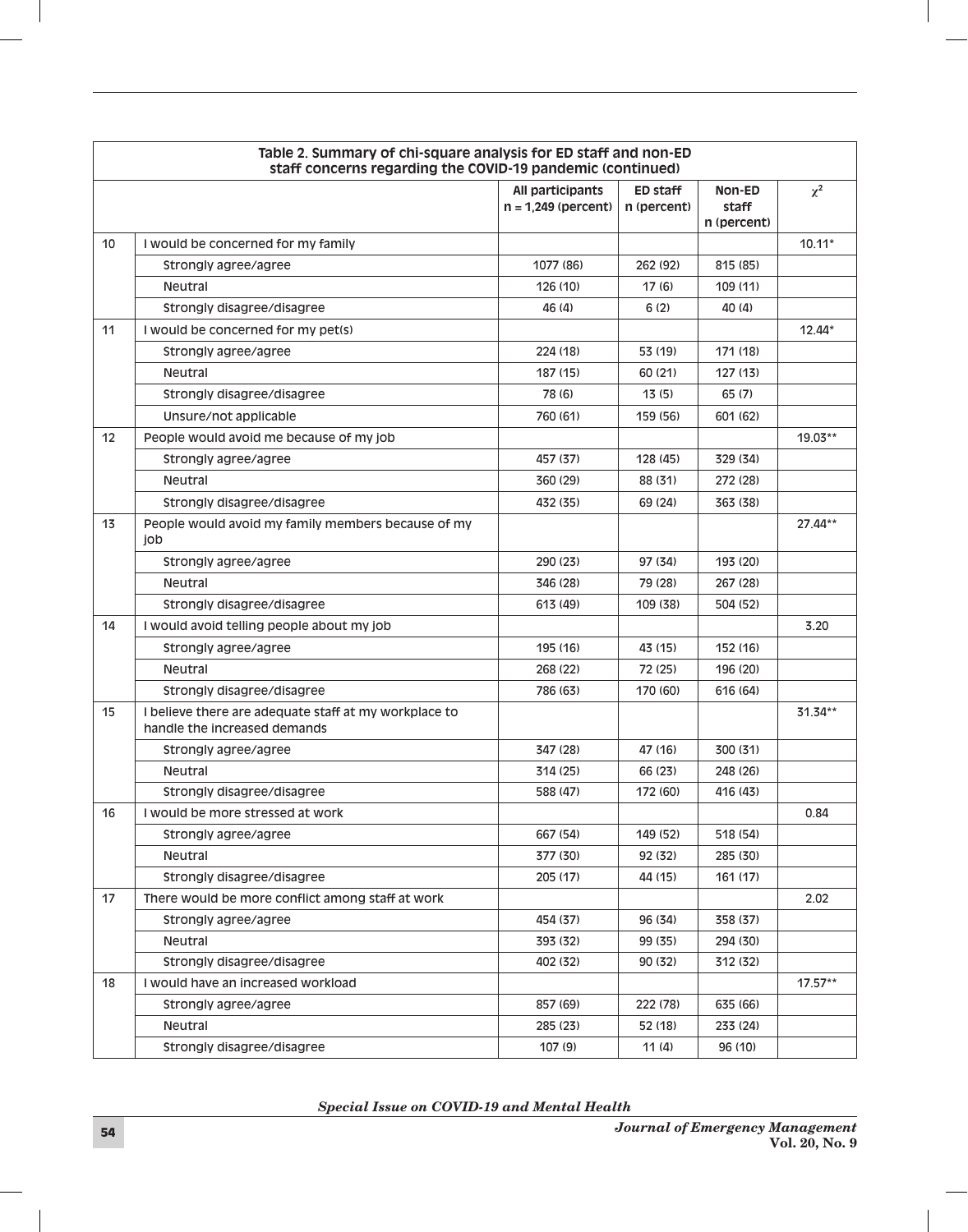| Table 2. Summary of chi-square analysis for ED staff and non-ED<br>staff concerns regarding the COVID-19 pandemic (continued) |                                                                                       |                                           |                                |                                |           |
|-------------------------------------------------------------------------------------------------------------------------------|---------------------------------------------------------------------------------------|-------------------------------------------|--------------------------------|--------------------------------|-----------|
|                                                                                                                               |                                                                                       | All participants<br>$n = 1,249$ (percent) | <b>ED staff</b><br>n (percent) | Non-ED<br>staff<br>n (percent) | $\chi^2$  |
| 10                                                                                                                            | I would be concerned for my family                                                    |                                           |                                |                                | $10.11*$  |
|                                                                                                                               | Strongly agree/agree                                                                  | 1077 (86)                                 | 262 (92)                       | 815 (85)                       |           |
|                                                                                                                               | <b>Neutral</b>                                                                        | 126 (10)                                  | 17(6)                          | 109(11)                        |           |
|                                                                                                                               | Strongly disagree/disagree                                                            | 46 (4)                                    | 6(2)                           | 40 (4)                         |           |
| 11                                                                                                                            | I would be concerned for my pet(s)                                                    |                                           |                                |                                | $12.44*$  |
|                                                                                                                               | Strongly agree/agree                                                                  | 224 (18)                                  | 53 (19)                        | 171 (18)                       |           |
|                                                                                                                               | <b>Neutral</b>                                                                        | 187 (15)                                  | 60 (21)                        | 127(13)                        |           |
|                                                                                                                               | Strongly disagree/disagree                                                            | 78 (6)                                    | 13(5)                          | 65 (7)                         |           |
|                                                                                                                               | Unsure/not applicable                                                                 | 760 (61)                                  | 159 (56)                       | 601 (62)                       |           |
| 12                                                                                                                            | People would avoid me because of my job                                               |                                           |                                |                                | $19.03**$ |
|                                                                                                                               | Strongly agree/agree                                                                  | 457 (37)                                  | 128 (45)                       | 329 (34)                       |           |
|                                                                                                                               | <b>Neutral</b>                                                                        | 360 (29)                                  | 88 (31)                        | 272 (28)                       |           |
|                                                                                                                               | Strongly disagree/disagree                                                            | 432 (35)                                  | 69 (24)                        | 363 (38)                       |           |
| 13                                                                                                                            | People would avoid my family members because of my<br>job                             |                                           |                                |                                | 27.44**   |
|                                                                                                                               | Strongly agree/agree                                                                  | 290 (23)                                  | 97 (34)                        | 193 (20)                       |           |
|                                                                                                                               | <b>Neutral</b>                                                                        | 346 (28)                                  | 79 (28)                        | 267 (28)                       |           |
|                                                                                                                               | Strongly disagree/disagree                                                            | 613 (49)                                  | 109 (38)                       | 504 (52)                       |           |
| 14                                                                                                                            | I would avoid telling people about my job                                             |                                           |                                |                                | 3.20      |
|                                                                                                                               | Strongly agree/agree                                                                  | 195 (16)                                  | 43 (15)                        | 152 (16)                       |           |
|                                                                                                                               | <b>Neutral</b>                                                                        | 268 (22)                                  | 72 (25)                        | 196 (20)                       |           |
|                                                                                                                               | Strongly disagree/disagree                                                            | 786 (63)                                  | 170 (60)                       | 616 (64)                       |           |
| 15                                                                                                                            | I believe there are adequate staff at my workplace to<br>handle the increased demands |                                           |                                |                                | $31.34**$ |
|                                                                                                                               | Strongly agree/agree                                                                  | 347 (28)                                  | 47 (16)                        | 300 (31)                       |           |
|                                                                                                                               | <b>Neutral</b>                                                                        | 314 (25)                                  | 66 (23)                        | 248 (26)                       |           |
|                                                                                                                               | Strongly disagree/disagree                                                            | 588 (47)                                  | 172 (60)                       | 416 (43)                       |           |
| 16                                                                                                                            | I would be more stressed at work                                                      |                                           |                                |                                | 0.84      |
|                                                                                                                               | Strongly agree/agree                                                                  | 667 (54)                                  | 149 (52)                       | 518 (54)                       |           |
|                                                                                                                               | Neutral                                                                               | 377 (30)                                  | 92 (32)                        | 285 (30)                       |           |
|                                                                                                                               | Strongly disagree/disagree                                                            | 205 (17)                                  | 44 (15)                        | 161 (17)                       |           |
| 17                                                                                                                            | There would be more conflict among staff at work                                      |                                           |                                |                                | 2.02      |
|                                                                                                                               | Strongly agree/agree                                                                  | 454 (37)                                  | 96 (34)                        | 358 (37)                       |           |
|                                                                                                                               | Neutral                                                                               | 393 (32)                                  | 99 (35)                        | 294 (30)                       |           |
|                                                                                                                               | Strongly disagree/disagree                                                            | 402 (32)                                  | 90 (32)                        | 312 (32)                       |           |
| 18                                                                                                                            | I would have an increased workload                                                    |                                           |                                |                                | $17.57**$ |
|                                                                                                                               | Strongly agree/agree                                                                  | 857 (69)                                  | 222 (78)                       | 635 (66)                       |           |
|                                                                                                                               | Neutral                                                                               | 285 (23)                                  | 52 (18)                        | 233 (24)                       |           |
|                                                                                                                               | Strongly disagree/disagree                                                            | 107 (9)                                   | 11(4)                          | 96 (10)                        |           |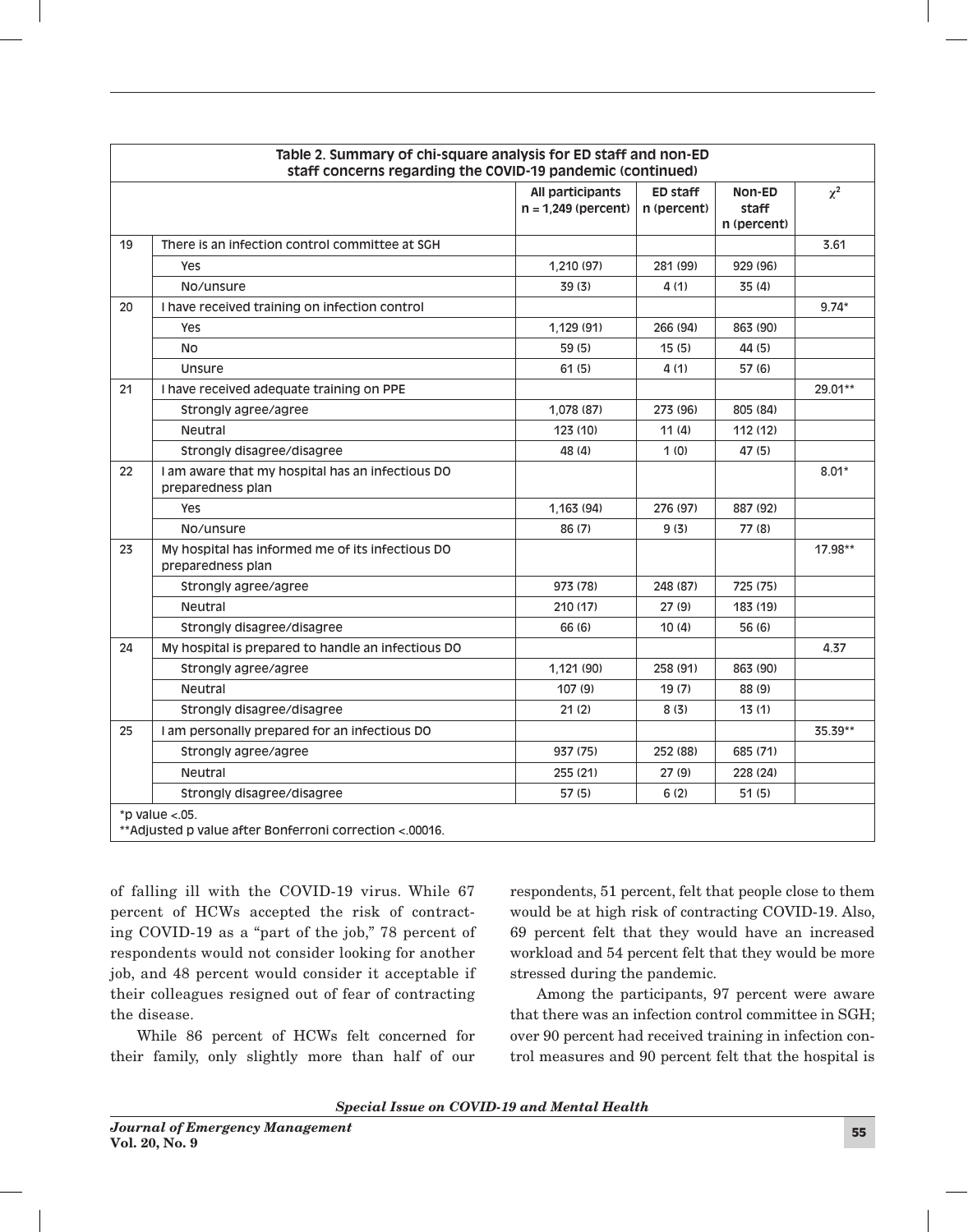| Table 2. Summary of chi-square analysis for ED staff and non-ED<br>staff concerns regarding the COVID-19 pandemic (continued) |                                                                       |                                           |                                |                                |          |
|-------------------------------------------------------------------------------------------------------------------------------|-----------------------------------------------------------------------|-------------------------------------------|--------------------------------|--------------------------------|----------|
|                                                                                                                               |                                                                       | All participants<br>$n = 1,249$ (percent) | <b>ED staff</b><br>n (percent) | Non-ED<br>staff<br>n (percent) | $\chi^2$ |
| 19                                                                                                                            | There is an infection control committee at SGH                        |                                           |                                |                                | 3.61     |
|                                                                                                                               | <b>Yes</b>                                                            | 1,210 (97)                                | 281 (99)                       | 929 (96)                       |          |
|                                                                                                                               | No/unsure                                                             | 39 (3)                                    | 4(1)                           | 35 (4)                         |          |
| 20                                                                                                                            | I have received training on infection control                         |                                           |                                |                                | $9.74*$  |
|                                                                                                                               | Yes                                                                   | 1,129 (91)                                | 266 (94)                       | 863 (90)                       |          |
|                                                                                                                               | <b>No</b>                                                             | 59 (5)                                    | 15(5)                          | 44 (5)                         |          |
|                                                                                                                               | Unsure                                                                | 61(5)                                     | 4(1)                           | 57(6)                          |          |
| 21                                                                                                                            | I have received adequate training on PPE                              |                                           |                                |                                | 29.01**  |
|                                                                                                                               | Strongly agree/agree                                                  | 1,078 (87)                                | 273 (96)                       | 805 (84)                       |          |
|                                                                                                                               | Neutral                                                               | 123 (10)                                  | 11(4)                          | 112 (12)                       |          |
|                                                                                                                               | Strongly disagree/disagree                                            | 48 (4)                                    | 1(0)                           | 47 (5)                         |          |
| 22                                                                                                                            | I am aware that my hospital has an infectious DO<br>preparedness plan |                                           |                                |                                | $8.01*$  |
|                                                                                                                               | Yes                                                                   | 1,163 (94)                                | 276 (97)                       | 887 (92)                       |          |
|                                                                                                                               | No/unsure                                                             | 86 (7)                                    | 9(3)                           | 77 (8)                         |          |
| 23                                                                                                                            | My hospital has informed me of its infectious DO<br>preparedness plan |                                           |                                |                                | 17.98**  |
|                                                                                                                               | Strongly agree/agree                                                  | 973 (78)                                  | 248 (87)                       | 725 (75)                       |          |
|                                                                                                                               | Neutral                                                               | 210(17)                                   | 27(9)                          | 183 (19)                       |          |
|                                                                                                                               | Strongly disagree/disagree                                            | 66 (6)                                    | 10(4)                          | 56 (6)                         |          |
| 24                                                                                                                            | My hospital is prepared to handle an infectious DO                    |                                           |                                |                                | 4.37     |
|                                                                                                                               | Strongly agree/agree                                                  | 1,121 (90)                                | 258 (91)                       | 863 (90)                       |          |
|                                                                                                                               | <b>Neutral</b>                                                        | 107(9)                                    | 19(7)                          | 88 (9)                         |          |
|                                                                                                                               | Strongly disagree/disagree                                            | 21(2)                                     | 8(3)                           | 13(1)                          |          |
| 25                                                                                                                            | I am personally prepared for an infectious DO                         |                                           |                                |                                | 35.39**  |
|                                                                                                                               | Strongly agree/agree                                                  | 937 (75)                                  | 252 (88)                       | 685 (71)                       |          |
|                                                                                                                               | Neutral                                                               | 255 (21)                                  | 27(9)                          | 228 (24)                       |          |
|                                                                                                                               | Strongly disagree/disagree                                            | 57(5)                                     | 6(2)                           | 51(5)                          |          |
|                                                                                                                               | *p value $< .05$ .                                                    |                                           |                                |                                |          |
| ** Adjusted p value after Bonferroni correction <.00016.                                                                      |                                                                       |                                           |                                |                                |          |

of falling ill with the COVID-19 virus. While 67 percent of HCWs accepted the risk of contracting COVID-19 as a "part of the job," 78 percent of respondents would not consider looking for another job, and 48 percent would consider it acceptable if their colleagues resigned out of fear of contracting the disease.

While 86 percent of HCWs felt concerned for their family, only slightly more than half of our

respondents, 51 percent, felt that people close to them would be at high risk of contracting COVID-19. Also, 69 percent felt that they would have an increased workload and 54 percent felt that they would be more stressed during the pandemic.

Among the participants, 97 percent were aware that there was an infection control committee in SGH; over 90 percent had received training in infection control measures and 90 percent felt that the hospital is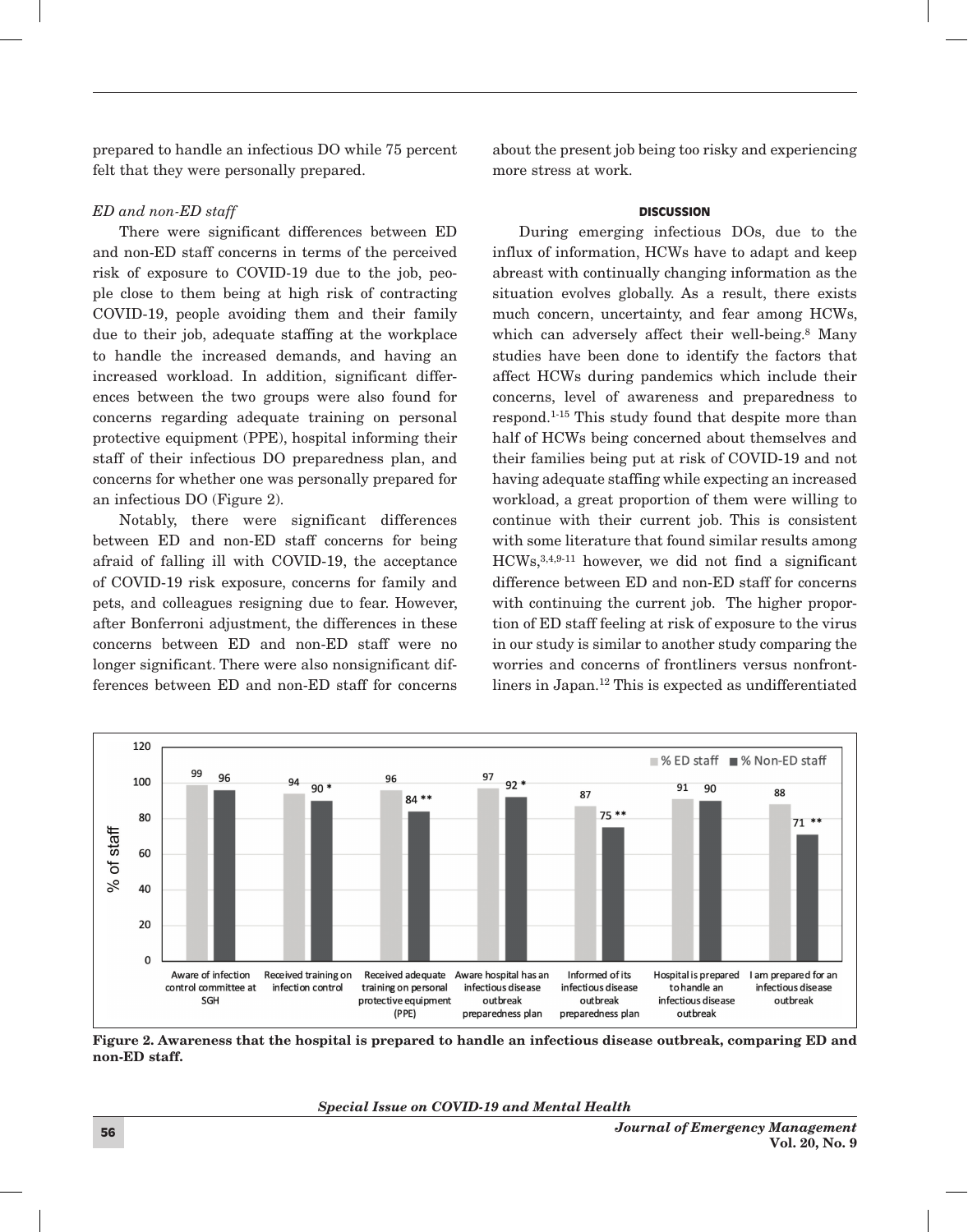prepared to handle an infectious DO while 75 percent felt that they were personally prepared.

## *ED and non-ED staff*

There were significant differences between ED and non-ED staff concerns in terms of the perceived risk of exposure to COVID-19 due to the job, people close to them being at high risk of contracting COVID-19, people avoiding them and their family due to their job, adequate staffing at the workplace to handle the increased demands, and having an increased workload. In addition, significant differences between the two groups were also found for concerns regarding adequate training on personal protective equipment (PPE), hospital informing their staff of their infectious DO preparedness plan, and concerns for whether one was personally prepared for an infectious DO (Figure 2).

Notably, there were significant differences between ED and non-ED staff concerns for being afraid of falling ill with COVID-19, the acceptance of COVID-19 risk exposure, concerns for family and pets, and colleagues resigning due to fear. However, after Bonferroni adjustment, the differences in these concerns between ED and non-ED staff were no longer significant. There were also nonsignificant differences between ED and non-ED staff for concerns

about the present job being too risky and experiencing more stress at work.

### **DISCUSSION**

During emerging infectious DOs, due to the influx of information, HCWs have to adapt and keep abreast with continually changing information as the situation evolves globally. As a result, there exists much concern, uncertainty, and fear among HCWs, which can adversely affect their well-being.<sup>8</sup> Many studies have been done to identify the factors that affect HCWs during pandemics which include their concerns, level of awareness and preparedness to respond.1-15 This study found that despite more than half of HCWs being concerned about themselves and their families being put at risk of COVID-19 and not having adequate staffing while expecting an increased workload, a great proportion of them were willing to continue with their current job. This is consistent with some literature that found similar results among HCWs,3,4,9-11 however, we did not find a significant difference between ED and non-ED staff for concerns with continuing the current job. The higher proportion of ED staff feeling at risk of exposure to the virus in our study is similar to another study comparing the worries and concerns of frontliners versus nonfrontliners in Japan.12 This is expected as undifferentiated



Figure 2. Awareness that the hospital is prepared to handle an infectious disease outbreak, comparing ED and non-ED staff.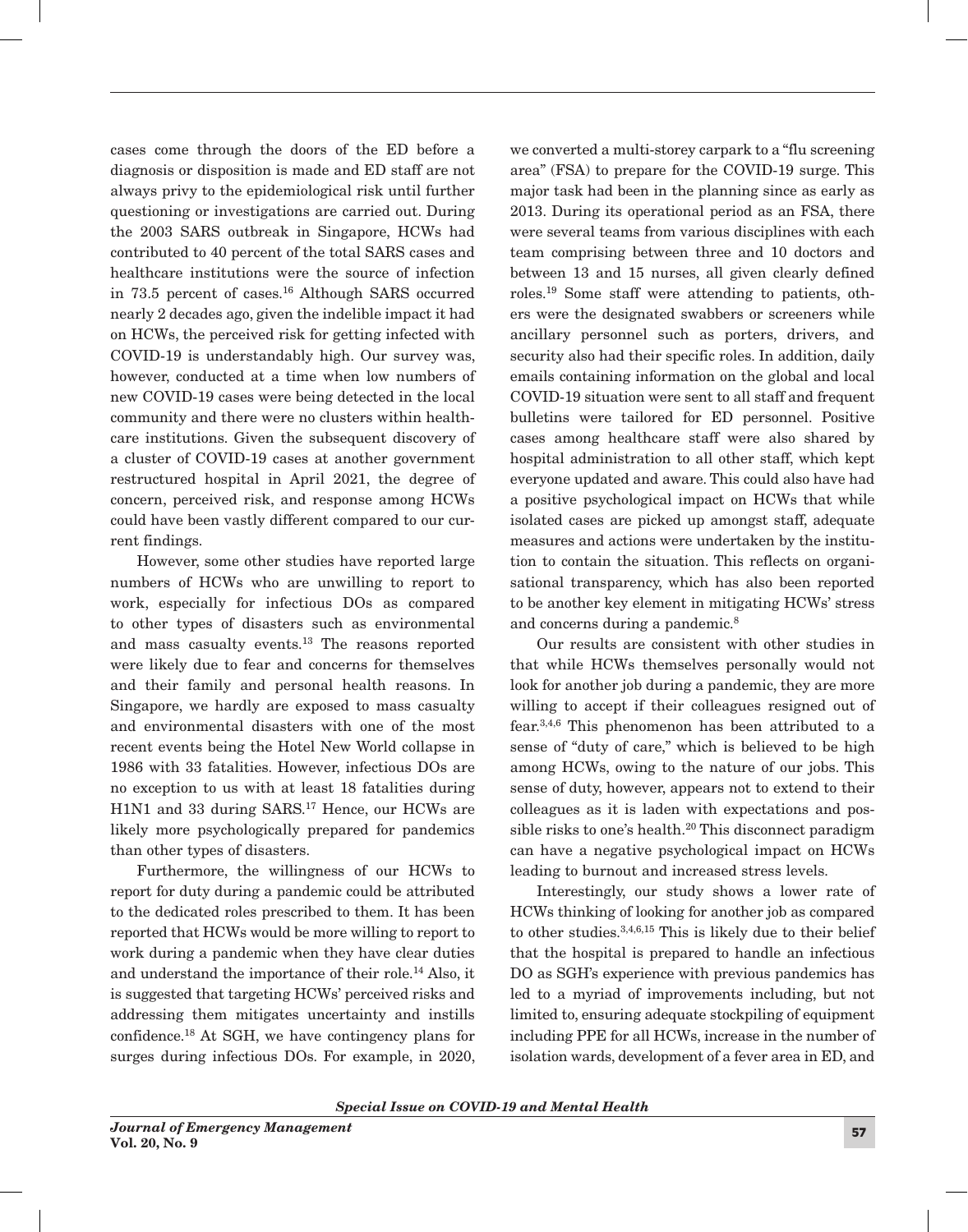cases come through the doors of the ED before a diagnosis or disposition is made and ED staff are not always privy to the epidemiological risk until further questioning or investigations are carried out. During the 2003 SARS outbreak in Singapore, HCWs had contributed to 40 percent of the total SARS cases and healthcare institutions were the source of infection in 73.5 percent of cases.<sup>16</sup> Although SARS occurred nearly 2 decades ago, given the indelible impact it had on HCWs, the perceived risk for getting infected with COVID-19 is understandably high. Our survey was, however, conducted at a time when low numbers of new COVID-19 cases were being detected in the local community and there were no clusters within healthcare institutions. Given the subsequent discovery of a cluster of COVID-19 cases at another government restructured hospital in April 2021, the degree of concern, perceived risk, and response among HCWs could have been vastly different compared to our current findings.

However, some other studies have reported large numbers of HCWs who are unwilling to report to work, especially for infectious DOs as compared to other types of disasters such as environmental and mass casualty events.13 The reasons reported were likely due to fear and concerns for themselves and their family and personal health reasons. In Singapore, we hardly are exposed to mass casualty and environmental disasters with one of the most recent events being the Hotel New World collapse in 1986 with 33 fatalities. However, infectious DOs are no exception to us with at least 18 fatalities during H1N1 and 33 during SARS.17 Hence, our HCWs are likely more psychologically prepared for pandemics than other types of disasters.

Furthermore, the willingness of our HCWs to report for duty during a pandemic could be attributed to the dedicated roles prescribed to them. It has been reported that HCWs would be more willing to report to work during a pandemic when they have clear duties and understand the importance of their role.14 Also, it is suggested that targeting HCWs' perceived risks and addressing them mitigates uncertainty and instills confidence.18 At SGH, we have contingency plans for surges during infectious DOs. For example, in 2020, we converted a multi-storey carpark to a "flu screening area" (FSA) to prepare for the COVID-19 surge. This major task had been in the planning since as early as 2013. During its operational period as an FSA, there were several teams from various disciplines with each team comprising between three and 10 doctors and between 13 and 15 nurses, all given clearly defined roles.19 Some staff were attending to patients, others were the designated swabbers or screeners while ancillary personnel such as porters, drivers, and security also had their specific roles. In addition, daily emails containing information on the global and local COVID-19 situation were sent to all staff and frequent bulletins were tailored for ED personnel. Positive cases among healthcare staff were also shared by hospital administration to all other staff, which kept everyone updated and aware. This could also have had a positive psychological impact on HCWs that while isolated cases are picked up amongst staff, adequate measures and actions were undertaken by the institution to contain the situation. This reflects on organisational transparency, which has also been reported to be another key element in mitigating HCWs' stress and concerns during a pandemic.<sup>8</sup>

Our results are consistent with other studies in that while HCWs themselves personally would not look for another job during a pandemic, they are more willing to accept if their colleagues resigned out of fear.3,4,6 This phenomenon has been attributed to a sense of "duty of care," which is believed to be high among HCWs, owing to the nature of our jobs. This sense of duty, however, appears not to extend to their colleagues as it is laden with expectations and possible risks to one's health.<sup>20</sup> This disconnect paradigm can have a negative psychological impact on HCWs leading to burnout and increased stress levels.

Interestingly, our study shows a lower rate of HCWs thinking of looking for another job as compared to other studies.3,4,6,15 This is likely due to their belief that the hospital is prepared to handle an infectious DO as SGH's experience with previous pandemics has led to a myriad of improvements including, but not limited to, ensuring adequate stockpiling of equipment including PPE for all HCWs, increase in the number of isolation wards, development of a fever area in ED, and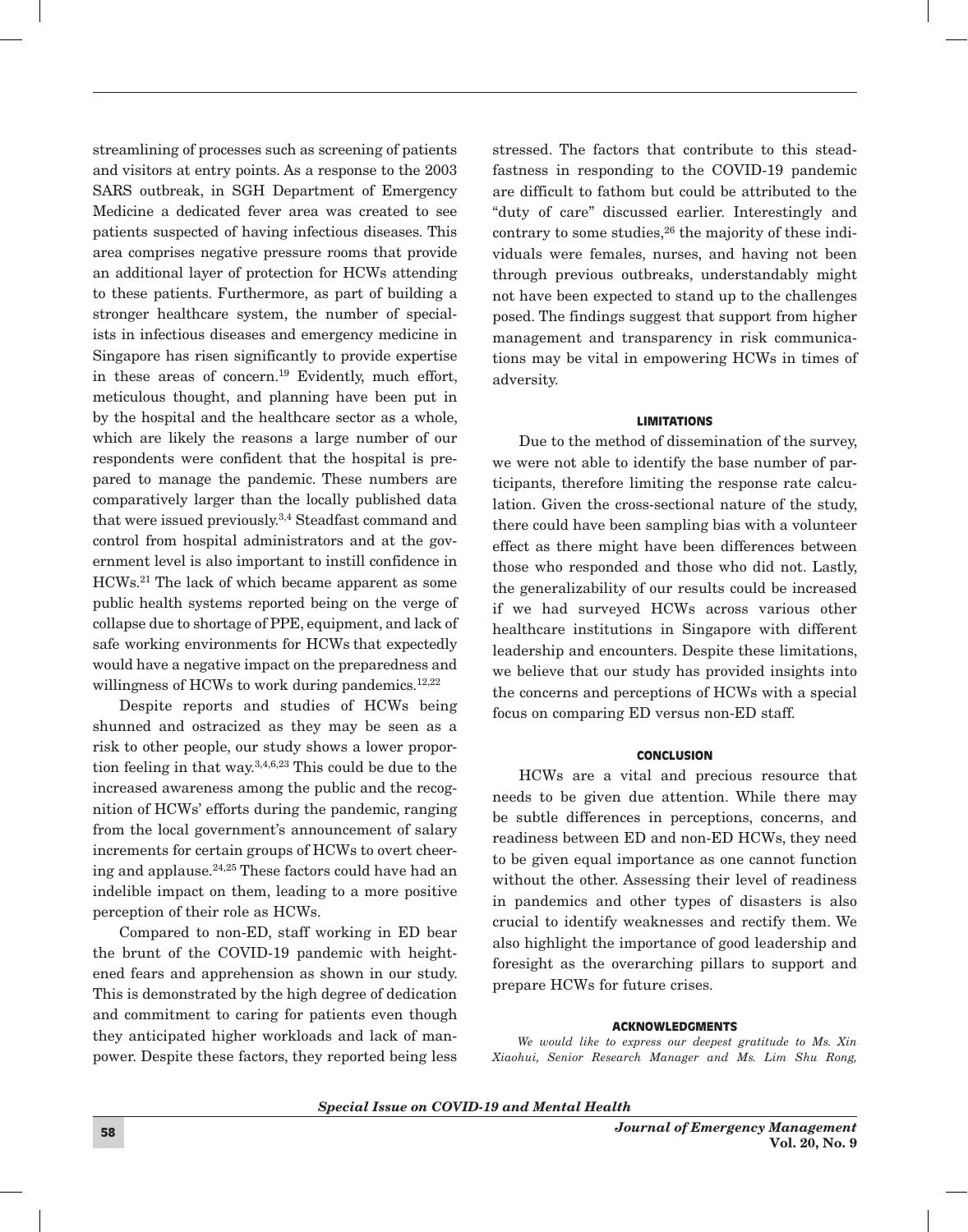streamlining of processes such as screening of patients and visitors at entry points. As a response to the 2003 SARS outbreak, in SGH Department of Emergency Medicine a dedicated fever area was created to see patients suspected of having infectious diseases. This area comprises negative pressure rooms that provide an additional layer of protection for HCWs attending to these patients. Furthermore, as part of building a stronger healthcare system, the number of specialists in infectious diseases and emergency medicine in Singapore has risen significantly to provide expertise in these areas of concern.19 Evidently, much effort, meticulous thought, and planning have been put in by the hospital and the healthcare sector as a whole, which are likely the reasons a large number of our respondents were confident that the hospital is prepared to manage the pandemic. These numbers are comparatively larger than the locally published data that were issued previously.3,4 Steadfast command and control from hospital administrators and at the government level is also important to instill confidence in HCWs.21 The lack of which became apparent as some public health systems reported being on the verge of collapse due to shortage of PPE, equipment, and lack of safe working environments for HCWs that expectedly would have a negative impact on the preparedness and willingness of HCWs to work during pandemics.<sup>12,22</sup>

Despite reports and studies of HCWs being shunned and ostracized as they may be seen as a risk to other people, our study shows a lower proportion feeling in that way.3,4,6,23 This could be due to the increased awareness among the public and the recognition of HCWs' efforts during the pandemic, ranging from the local government's announcement of salary increments for certain groups of HCWs to overt cheering and applause.24,25 These factors could have had an indelible impact on them, leading to a more positive perception of their role as HCWs.

Compared to non-ED, staff working in ED bear the brunt of the COVID-19 pandemic with heightened fears and apprehension as shown in our study. This is demonstrated by the high degree of dedication and commitment to caring for patients even though they anticipated higher workloads and lack of manpower. Despite these factors, they reported being less

stressed. The factors that contribute to this steadfastness in responding to the COVID-19 pandemic are difficult to fathom but could be attributed to the "duty of care" discussed earlier. Interestingly and contrary to some studies,  $26$  the majority of these individuals were females, nurses, and having not been through previous outbreaks, understandably might not have been expected to stand up to the challenges posed. The findings suggest that support from higher management and transparency in risk communications may be vital in empowering HCWs in times of adversity.

## LIMITATIONS

Due to the method of dissemination of the survey, we were not able to identify the base number of participants, therefore limiting the response rate calculation. Given the cross-sectional nature of the study, there could have been sampling bias with a volunteer effect as there might have been differences between those who responded and those who did not. Lastly, the generalizability of our results could be increased if we had surveyed HCWs across various other healthcare institutions in Singapore with different leadership and encounters. Despite these limitations, we believe that our study has provided insights into the concerns and perceptions of HCWs with a special focus on comparing ED versus non-ED staff.

#### **CONCLUSION**

HCWs are a vital and precious resource that needs to be given due attention. While there may be subtle differences in perceptions, concerns, and readiness between ED and non-ED HCWs, they need to be given equal importance as one cannot function without the other. Assessing their level of readiness in pandemics and other types of disasters is also crucial to identify weaknesses and rectify them. We also highlight the importance of good leadership and foresight as the overarching pillars to support and prepare HCWs for future crises.

#### ACKNOWLEDGMENTS

*We would like to express our deepest gratitude to Ms. Xin Xiaohui, Senior Research Manager and Ms. Lim Shu Rong,* 

*Special Issue on COVID-19 and Mental Health*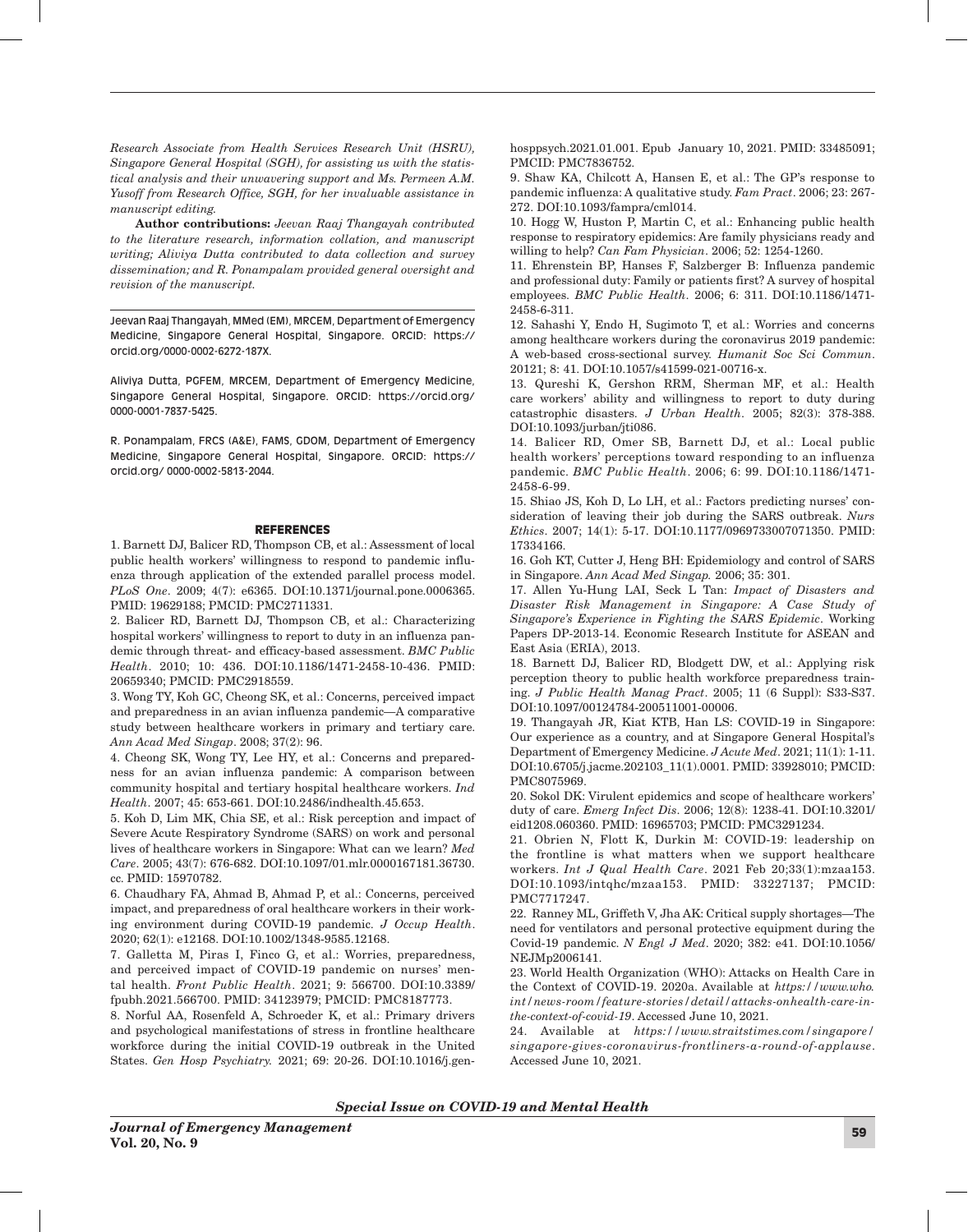*Research Associate from Health Services Research Unit (HSRU), Singapore General Hospital (SGH), for assisting us with the statistical analysis and their unwavering support and Ms. Permeen A.M. Yusoff from Research Office, SGH, for her invaluable assistance in manuscript editing.*

Author contributions: *Jeevan Raaj Thangayah contributed to the literature research, information collation, and manuscript writing; Aliviya Dutta contributed to data collection and survey dissemination; and R. Ponampalam provided general oversight and revision of the manuscript.*

Jeevan Raaj Thangayah, MMed (EM), MRCEM, Department of Emergency Medicine, Singapore General Hospital, Singapore. ORCID: https:// orcid.org/0000-0002-6272-187X.

Aliviya Dutta, PGFEM, MRCEM, Department of Emergency Medicine, Singapore General Hospital, Singapore. ORCID: https://orcid.org/ 0000-0001-7837-5425.

R. Ponampalam, FRCS (A&E), FAMS, GDOM, Department of Emergency Medicine, Singapore General Hospital, Singapore. ORCID: https:// orcid.org/ 0000-0002-5813-2044.

#### REFERENCES

1. Barnett DJ, Balicer RD, Thompson CB, et al.: Assessment of local public health workers' willingness to respond to pandemic influenza through application of the extended parallel process model. *PLoS One*. 2009; 4(7): e6365. DOI:10.1371/journal.pone.0006365. PMID: 19629188; PMCID: PMC2711331.

2. Balicer RD, Barnett DJ, Thompson CB, et al.: Characterizing hospital workers' willingness to report to duty in an influenza pandemic through threat- and efficacy-based assessment. *BMC Public Health*. 2010; 10: 436. DOI:10.1186/1471-2458-10-436. PMID: 20659340; PMCID: PMC2918559.

3. Wong TY, Koh GC, Cheong SK, et al.: Concerns, perceived impact and preparedness in an avian influenza pandemic—A comparative study between healthcare workers in primary and tertiary care. *Ann Acad Med Singap*. 2008; 37(2): 96.

4. Cheong SK, Wong TY, Lee HY, et al.: Concerns and preparedness for an avian influenza pandemic: A comparison between community hospital and tertiary hospital healthcare workers. *Ind Health*. 2007; 45: 653-661. DOI:10.2486/indhealth.45.653.

5. Koh D, Lim MK, Chia SE, et al.: Risk perception and impact of Severe Acute Respiratory Syndrome (SARS) on work and personal lives of healthcare workers in Singapore: What can we learn? *Med Care*. 2005; 43(7): 676-682. DOI:10.1097/01.mlr.0000167181.36730. cc. PMID: 15970782.

6. Chaudhary FA, Ahmad B, Ahmad P, et al.: Concerns, perceived impact, and preparedness of oral healthcare workers in their working environment during COVID-19 pandemic. *J Occup Health*. 2020; 62(1): e12168. DOI:10.1002/1348-9585.12168.

7. Galletta M, Piras I, Finco G, et al.: Worries, preparedness, and perceived impact of COVID-19 pandemic on nurses' mental health. *Front Public Health*. 2021; 9: 566700. DOI:10.3389/ fpubh.2021.566700. PMID: 34123979; PMCID: PMC8187773.

8. Norful AA, Rosenfeld A, Schroeder K, et al.: Primary drivers and psychological manifestations of stress in frontline healthcare workforce during the initial COVID-19 outbreak in the United States. *Gen Hosp Psychiatry.* 2021; 69: 20-26. DOI:10.1016/j.gen-

hosppsych.2021.01.001. Epub January 10, 2021. PMID: 33485091; PMCID: PMC7836752.

9. Shaw KA, Chilcott A, Hansen E, et al.: The GP's response to pandemic influenza: A qualitative study. *Fam Pract*. 2006; 23: 267- 272. DOI:10.1093/fampra/cml014.

10. Hogg W, Huston P, Martin C, et al.: Enhancing public health response to respiratory epidemics: Are family physicians ready and willing to help? *Can Fam Physician*. 2006; 52: 1254-1260.

11. Ehrenstein BP, Hanses F, Salzberger B: Influenza pandemic and professional duty: Family or patients first? A survey of hospital employees. *BMC Public Health*. 2006; 6: 311. DOI:10.1186/1471- 2458-6-311.

12. Sahashi Y, Endo H, Sugimoto T, et al*.*: Worries and concerns among healthcare workers during the coronavirus 2019 pandemic: A web-based cross-sectional survey. *Humanit Soc Sci Commun*. 20121; 8: 41. DOI:10.1057/s41599-021-00716-x.

13. Qureshi K, Gershon RRM, Sherman MF, et al.: Health care workers' ability and willingness to report to duty during catastrophic disasters. *J Urban Health*. 2005; 82(3): 378-388. DOI:10.1093/jurban/jti086.

14. Balicer RD, Omer SB, Barnett DJ, et al.: Local public health workers' perceptions toward responding to an influenza pandemic. *BMC Public Health*. 2006; 6: 99. DOI:10.1186/1471- 2458-6-99.

15. Shiao JS, Koh D, Lo LH, et al.: Factors predicting nurses' consideration of leaving their job during the SARS outbreak. *Nurs Ethics*. 2007; 14(1): 5-17. DOI:10.1177/0969733007071350. PMID: 17334166.

16. Goh KT, Cutter J, Heng BH: Epidemiology and control of SARS in Singapore. *Ann Acad Med Singap.* 2006; 35: 301.

17. Allen Yu-Hung LAI, Seck L Tan: *Impact of Disasters and Disaster Risk Management in Singapore: A Case Study of Singapore's Experience in Fighting the SARS Epidemic*. Working Papers DP-2013-14. Economic Research Institute for ASEAN and East Asia (ERIA), 2013.

18. Barnett DJ, Balicer RD, Blodgett DW, et al.: Applying risk perception theory to public health workforce preparedness training. *J Public Health Manag Pract*. 2005; 11 (6 Suppl): S33-S37. DOI:10.1097/00124784-200511001-00006.

19. Thangayah JR, Kiat KTB, Han LS: COVID-19 in Singapore: Our experience as a country, and at Singapore General Hospital's Department of Emergency Medicine. *J Acute Med*. 2021; 11(1): 1-11. DOI:10.6705/j.jacme.202103\_11(1).0001. PMID: 33928010; PMCID: PMC8075969.

20. Sokol DK: Virulent epidemics and scope of healthcare workers' duty of care. *Emerg Infect Dis*. 2006; 12(8): 1238-41. DOI:10.3201/ eid1208.060360. PMID: 16965703; PMCID: PMC3291234.

21. Obrien N, Flott K, Durkin M: COVID-19: leadership on the frontline is what matters when we support healthcare workers. *Int J Qual Health Care*. 2021 Feb 20;33(1):mzaa153. DOI:10.1093/intqhc/mzaa153. PMID: 33227137; PMCID: PMC7717247.

22. Ranney ML, Griffeth V, Jha AK: Critical supply shortages—The need for ventilators and personal protective equipment during the Covid-19 pandemic. *N Engl J Med*. 2020; 382: e41. DOI:10.1056/ NEJMp2006141.

23. World Health Organization (WHO): Attacks on Health Care in the Context of COVID-19. 2020a. Available at *https://www.who. int/news-room/feature-stories/detail/attacks-onhealth-care-inthe-context-of-covid-19*. Accessed June 10, 2021.

24. Available at *https://www.straitstimes.com/singapore/ singapore-gives-coronavirus-frontliners-a-round-of-applause*. Accessed June 10, 2021.